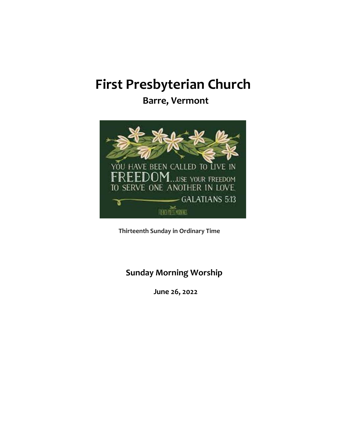# **First Presbyterian Church**

**Barre, Vermont** 



**Thirteenth Sunday in Ordinary Time**

## **Sunday Morning Worship**

**June 26, 2022**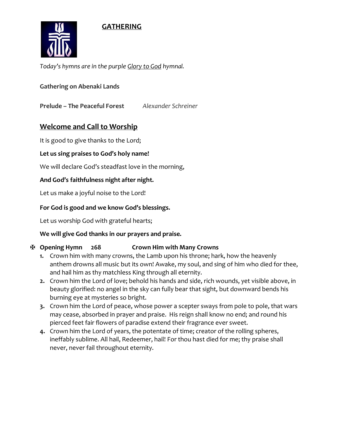### **GATHERING**



*Today's hymns are in the purple Glory to God hymnal.* 

**Gathering on Abenaki Lands**

**Prelude – The Peaceful Forest** *Alexander Schreiner*

### **Welcome and Call to Worship**

It is good to give thanks to the Lord;

#### **Let us sing praises to God's holy name!**

We will declare God's steadfast love in the morning,

#### **And God's faithfulness night after night.**

Let us make a joyful noise to the Lord!

#### **For God is good and we know God's blessings.**

Let us worship God with grateful hearts;

#### **We will give God thanks in our prayers and praise.**

#### ✠ **Opening Hymn 268 Crown Him with Many Crowns**

- **1.** Crown him with many crowns, the Lamb upon his throne; hark, how the heavenly anthem drowns all music but its own! Awake, my soul, and sing of him who died for thee, and hail him as thy matchless King through all eternity.
- **2.** Crown him the Lord of love; behold his hands and side, rich wounds, yet visible above, in beauty glorified: no angel in the sky can fully bear that sight, but downward bends his burning eye at mysteries so bright.
- **3.** Crown him the Lord of peace, whose power a scepter sways from pole to pole, that wars may cease, absorbed in prayer and praise. His reign shall know no end; and round his pierced feet fair flowers of paradise extend their fragrance ever sweet.
- **4.** Crown him the Lord of years, the potentate of time; creator of the rolling spheres, ineffably sublime. All hail, Redeemer, hail! For thou hast died for me; thy praise shall never, never fail throughout eternity.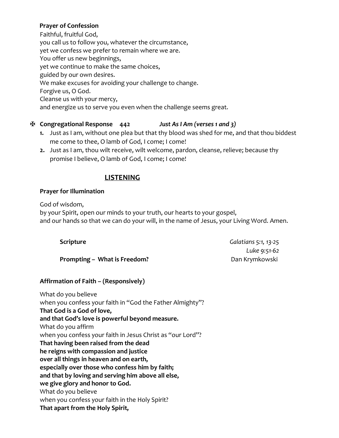#### **Prayer of Confession**

Faithful, fruitful God, you call us to follow you, whatever the circumstance, yet we confess we prefer to remain where we are. You offer us new beginnings, yet we continue to make the same choices, guided by our own desires. We make excuses for avoiding your challenge to change. Forgive us, O God. Cleanse us with your mercy, and energize us to serve you even when the challenge seems great.

#### ✠ **Congregational Response 442** *Just As I Am (verses 1 and 3)*

- **1.** Just as I am, without one plea but that thy blood was shed for me, and that thou biddest me come to thee, O lamb of God, I come; I come!
- **2.** Just as I am, thou wilt receive, wilt welcome, pardon, cleanse, relieve; because thy promise I believe, O lamb of God, I come; I come!

#### **LISTENING**

#### **Prayer for Illumination**

God of wisdom,

by your Spirit, open our minds to your truth, our hearts to your gospel, and our hands so that we can do your will, in the name of Jesus, your Living Word. Amen.

**Scripture** *Galatians 5:1, 13-25*

*Luke 9:51-62*

| Scripture |
|-----------|
|-----------|

**Prompting – What is Freedom?** Dan Krymkowski

#### **Affirmation of Faith – (Responsively)**

What do you believe when you confess your faith in "God the Father Almighty"? **That God is a God of love, and that God's love is powerful beyond measure.** What do you affirm when you confess your faith in Jesus Christ as "our Lord"? **That having been raised from the dead he reigns with compassion and justice over all things in heaven and on earth, especially over those who confess him by faith; and that by loving and serving him above all else, we give glory and honor to God.** What do you believe when you confess your faith in the Holy Spirit? **That apart from the Holy Spirit,**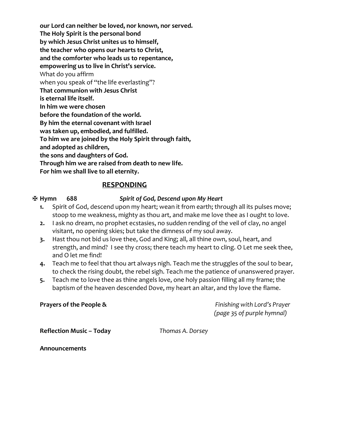**our Lord can neither be loved, nor known, nor served. The Holy Spirit is the personal bond by which Jesus Christ unites us to himself, the teacher who opens our hearts to Christ, and the comforter who leads us to repentance, empowering us to live in Christ's service.**  What do you affirm when you speak of "the life everlasting"? **That communion with Jesus Christ is eternal life itself. In him we were chosen before the foundation of the world. By him the eternal covenant with Israel was taken up, embodied, and fulfilled. To him we are joined by the Holy Spirit through faith, and adopted as children, the sons and daughters of God. Through him we are raised from death to new life. For him we shall live to all eternity.**

#### **RESPONDING**

#### ✠ **Hymn 688** *Spirit of God, Descend upon My Heart*

- **1.** Spirit of God, descend upon my heart; wean it from earth; through all its pulses move; stoop to me weakness, mighty as thou art, and make me love thee as I ought to love.
- **2.** I ask no dream, no prophet ecstasies, no sudden rending of the veil of clay, no angel visitant, no opening skies; but take the dimness of my soul away.
- **3.** Hast thou not bid us love thee, God and King; all, all thine own, soul, heart, and strength, and mind? I see thy cross; there teach my heart to cling. O Let me seek thee, and O let me find!
- **4.** Teach me to feel that thou art always nigh. Teach me the struggles of the soul to bear, to check the rising doubt, the rebel sigh. Teach me the patience of unanswered prayer.
- **5.** Teach me to love thee as thine angels love, one holy passion filling all my frame; the baptism of the heaven descended Dove, my heart an altar, and thy love the flame.

**Prayers of the People &** *Finishing with Lord's Prayer (page 35 of purple hymnal)* 

**Reflection Music – Today** *Thomas A. Dorsey*

**Announcements**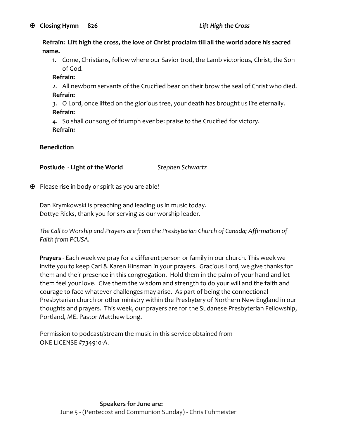**Refrain: Lift high the cross, the love of Christ proclaim till all the world adore his sacred name.**

1. Come, Christians, follow where our Savior trod, the Lamb victorious, Christ, the Son of God.

**Refrain:**

2. All newborn servants of the Crucified bear on their brow the seal of Christ who died. **Refrain:**

3. O Lord, once lifted on the glorious tree, your death has brought us life eternally. **Refrain:**

4. So shall our song of triumph ever be: praise to the Crucified for victory. **Refrain:**

#### **Benediction**

**Postlude** - **Light of the World** *Stephen Schwartz*

 $\mathbf{\Psi}$  Please rise in body or spirit as you are able!

Dan Krymkowski is preaching and leading us in music today. Dottye Ricks, thank you for serving as our worship leader.

*The Call to Worship and Prayers are from the Presbyterian Church of Canada; Affirmation of Faith from PCUSA.*

**Prayers** - Each week we pray for a different person or family in our church. This week we invite you to keep Carl & Karen Hinsman in your prayers. Gracious Lord, we give thanks for them and their presence in this congregation. Hold them in the palm of your hand and let them feel your love. Give them the wisdom and strength to do your will and the faith and courage to face whatever challenges may arise. As part of being the connectional Presbyterian church or other ministry within the Presbytery of Northern New England in our thoughts and prayers. This week, our prayers are for the Sudanese Presbyterian Fellowship, Portland, ME. Pastor Matthew Long.

Permission to podcast/stream the music in this service obtained from ONE LICENSE #734910-A.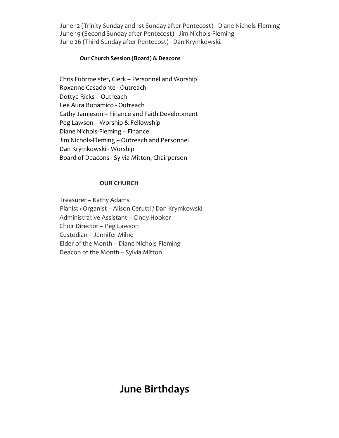June 12 (Trinity Sunday and 1st Sunday after Pentecost) - Diane Nichols-Fleming June 19 (Second Sunday after Pentecost) - Jim Nichols-Fleming June 26 (Third Sunday after Pentecost) - Dan Krymkowski.

#### **Our Church Session (Board) & Deacons**

Chris Fuhrmeister, Clerk – Personnel and Worship Roxanne Casadonte - Outreach Dottye Ricks – Outreach Lee Aura Bonamico - Outreach Cathy Jamieson – Finance and Faith Development Peg Lawson – Worship & Fellowship Diane Nichols-Fleming – Finance Jim Nichols-Fleming – Outreach and Personnel Dan Krymkowski - Worship Board of Deacons - Sylvia Mitton, Chairperson

#### **OUR CHURCH**

Treasurer – Kathy Adams Pianist / Organist – Alison Cerutti / Dan Krymkowski Administrative Assistant – Cindy Hooker Choir Director – Peg Lawson Custodian – Jennifer Milne Elder of the Month – Diane Nichols-Fleming Deacon of the Month – Sylvia Mitton

# **June Birthdays**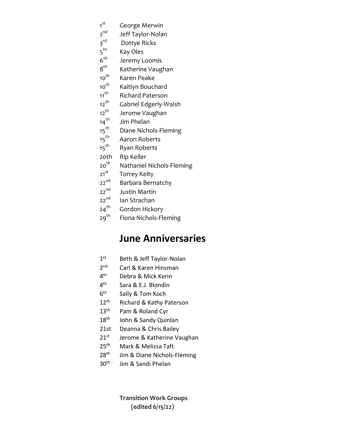- 1 st George Merwin
- 2 nd Jeff Taylor-Nolan
- $3^{\text{rd}}$ Dottye Ricks
- $5^{\text{th}}$ Kay Oles
- $6^{\text{th}}$ Jeremy Loomis
- $8^{th}$ <br>10<sup>th</sup> Katherine Vaughan
- Karen Peake
- 10<sup>th</sup> Kaitlyn Bouchard
- 11<sup>th</sup> Richard Paterson
- 12<sup>th</sup> Gabriel Edgerly-Walsh<br>12<sup>th</sup> Jerome Vaughan
- 12<sup>th</sup> Jerome Vaughan<br>14<sup>th</sup> Jim Phelan
- 
- 14<sup>th</sup> Jim Phelan<br>15<sup>th</sup> Diane Nicho 15<sup>th</sup> Diane Nichols-Fleming<br>15<sup>th</sup> Aaron Roberts
- 15<sup>th</sup> Aaron Roberts<br>15<sup>th</sup> Ryan Roberts
- Ryan Roberts
- 20th Rip Keller
- 20<sup>th</sup> Nathaniel Nichols-Fleming
- 21<sup>st</sup> Torrey Kelty
- 22<sup>nd</sup> Barbara Bernatchy
- 22<sup>nd</sup> Justin Martin<br>22<sup>nd</sup> Ian Strachan
- 
- $22^{nd}$  Ian Strachan<br> $24^{th}$  Gordon Hicko
- $24^{th}$  Gordon Hickory<br> $29^{th}$  Fiona Nichols-Fl Fiona Nichols-Fleming

# **June Anniversaries**

- $1<sup>st</sup>$ Beth & Jeff Taylor-Nolan
- $2<sup>nd</sup>$ Carl & Karen Hinsman
- $4<sup>th</sup>$ Debra & Mick Kerin
- $4<sup>th</sup>$ Sara & E.J. Blondin
- $6<sup>th</sup>$ Sally & Tom Koch
- 12<sup>th</sup> Richard & Kathy Paterson
- 13<sup>th</sup> Pam & Roland Cyr
- 18<sup>th</sup> John & Sandy Quinlan
- 21st Deanna & Chris Bailey
- 21<sup>st</sup> Jerome & Katherine Vaughan
- 25<sup>th</sup> Mark & Melissa Taft
- 28<sup>th</sup> Jim & Diane Nichols-Fleming
- 30th Jim & Sandi Phelan

**Transition Work Groups (edited 6/15/22)**